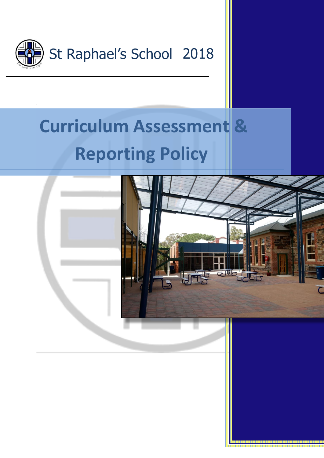

# **Curriculum Assessment & Reporting Policy**

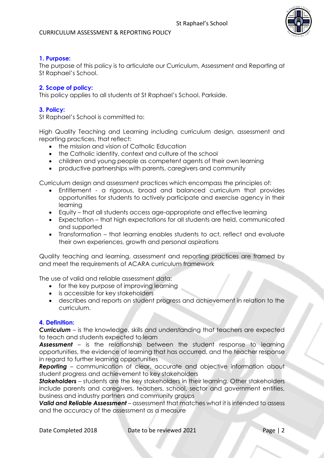

## **1. Purpose:**

The purpose of this policy is to articulate our Curriculum, Assessment and Reporting at St Raphael's School.

## **2. Scope of policy:**

This policy applies to all students at St Raphael's School, Parkside.

## **3. Policy:**

St Raphael's School is committed to:

High Quality Teaching and Learning including curriculum design, assessment and reporting practices, that reflect:

- the mission and vision of Catholic Education
- the Catholic identity, context and culture of the school
- children and young people as competent agents of their own learning
- productive partnerships with parents, caregivers and community

Curriculum design and assessment practices which encompass the principles of:

- Entitlement a rigorous, broad and balanced curriculum that provides opportunities for students to actively participate and exercise agency in their learning
- Equity that all students access age-appropriate and effective learning
- Expectation that high expectations for all students are held, communicated and supported
- Transformation that learning enables students to act, reflect and evaluate their own experiences, growth and personal aspirations

Quality teaching and learning, assessment and reporting practices are framed by and meet the requirements of ACARA curriculum framework

The use of valid and reliable assessment data:

- for the key purpose of improving learning
- is accessible for key stakeholders
- describes and reports on student progress and achievement in relation to the curriculum.

### **4. Definition:**

*Curriculum* – is the knowledge, skills and understanding that teachers are expected to teach and students expected to learn

*Assessment* – is the relationship between the student response to learning opportunities, the evidence of learning that has occurred, and the teacher response in regard to further learning opportunities

*Reporting* – communication of clear, accurate and objective information about student progress and achievement to key stakeholders

*Stakeholders* – students are the key stakeholders in their learning. Other stakeholders include parents and caregivers, teachers, school, sector and government entities, business and industry partners and community groups

*Valid and Reliable Assessment* – assessment that matches what it is intended to assess and the accuracy of the assessment as a measure